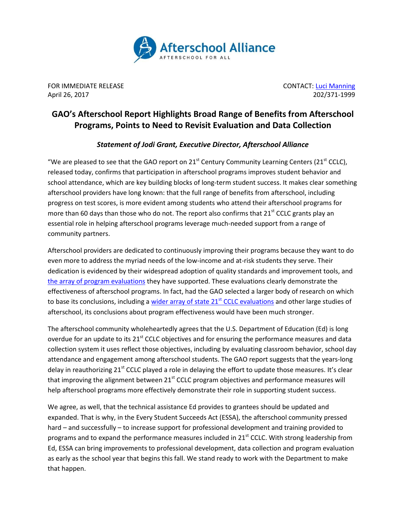

FOR IMMEDIATE RELEASE **CONTACT**[: Luci Manning](mailto:luci@prsolutionsdc.com?subject=From%20News%20Release:%20) April 26, 2017 202/371-1999

## **GAO's Afterschool Report Highlights Broad Range of Benefits from Afterschool Programs, Points to Need to Revisit Evaluation and Data Collection**

## *Statement of Jodi Grant, Executive Director, Afterschool Alliance*

"We are pleased to see that the GAO report on 21<sup>st</sup> Century Community Learning Centers (21<sup>st</sup> CCLC), released today, confirms that participation in afterschool programs improves student behavior and school attendance, which are key building blocks of long-term student success. It makes clear something afterschool providers have long known: that the full range of benefits from afterschool, including progress on test scores, is more evident among students who attend their afterschool programs for more than 60 days than those who do not. The report also confirms that  $21<sup>st</sup>$  CCLC grants play an essential role in helping afterschool programs leverage much-needed support from a range of community partners.

Afterschool providers are dedicated to continuously improving their programs because they want to do even more to address the myriad needs of the low-income and at-risk students they serve. Their dedication is evidenced by their widespread adoption of quality standards and improvement tools, and [the array of program evaluations](http://afterschoolalliance.org/documents/Evaluation_Backgrounder.pdf) they have supported. These evaluations clearly demonstrate the effectiveness of afterschool programs. In fact, had the GAO selected a larger body of research on which to base its conclusions, including a [wider array of state 21](http://afterschoolalliance.org/documents/21stCCLC_Statewide_Evaluation_Highlights.pdf)<sup>st</sup> CCLC evaluations and other large studies of afterschool, its conclusions about program effectiveness would have been much stronger.

The afterschool community wholeheartedly agrees that the U.S. Department of Education (Ed) is long overdue for an update to its 21<sup>st</sup> CCLC objectives and for ensuring the performance measures and data collection system it uses reflect those objectives, including by evaluating classroom behavior, school day attendance and engagement among afterschool students. The GAO report suggests that the years-long delay in reauthorizing 21<sup>st</sup> CCLC played a role in delaying the effort to update those measures. It's clear that improving the alignment between 21<sup>st</sup> CCLC program objectives and performance measures will help afterschool programs more effectively demonstrate their role in supporting student success.

We agree, as well, that the technical assistance Ed provides to grantees should be updated and expanded. That is why, in the Every Student Succeeds Act (ESSA), the afterschool community pressed hard – and successfully – to increase support for professional development and training provided to programs and to expand the performance measures included in  $21<sup>st</sup>$  CCLC. With strong leadership from Ed, ESSA can bring improvements to professional development, data collection and program evaluation as early as the school year that begins this fall. We stand ready to work with the Department to make that happen.